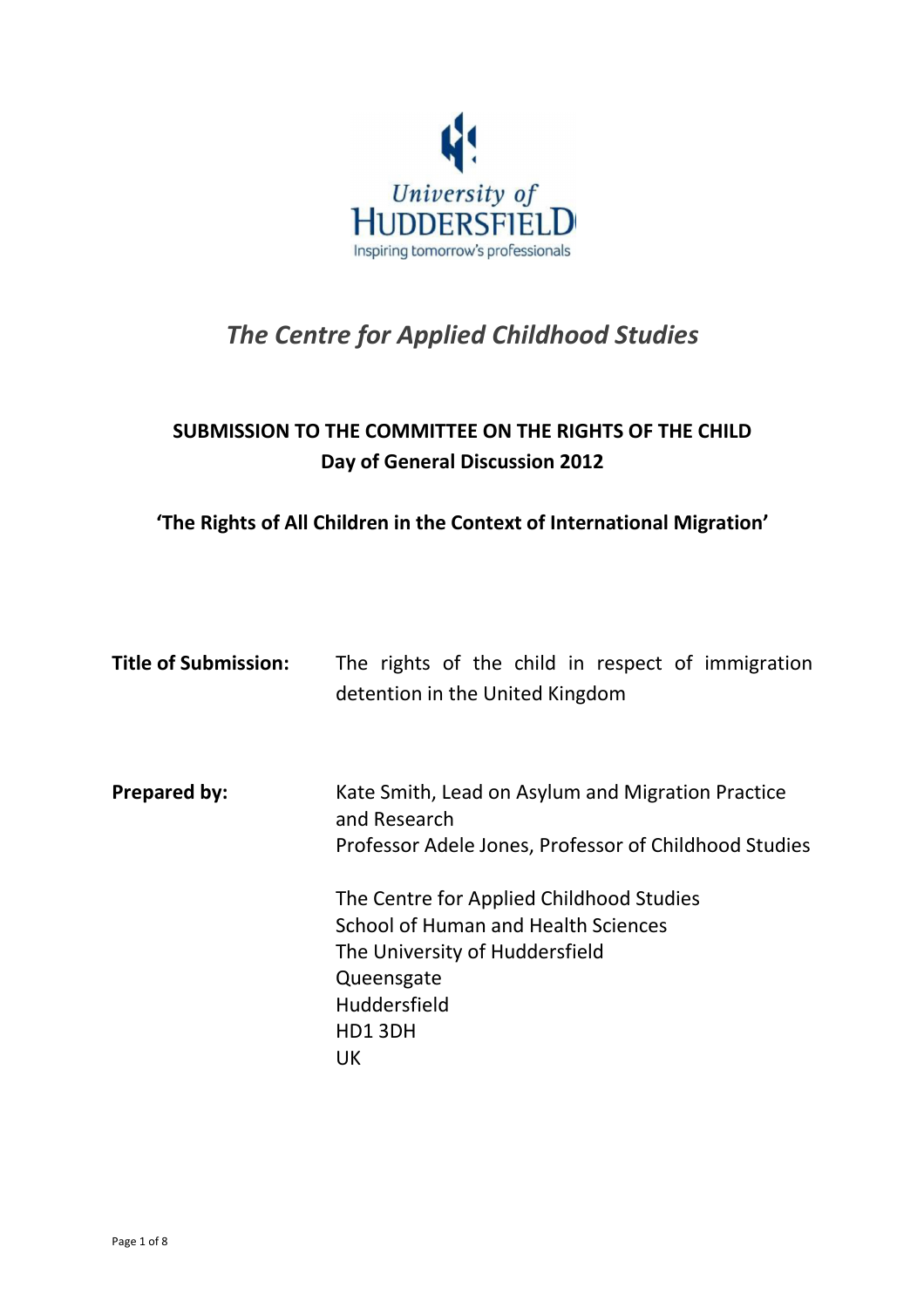

# The Centre for Applied Childhood Studies

# SUBMISSION TO THE COMMITTEE ON THE RIGHTS OF THE CHILD Day of General Discussion 2012

# 'The Rights of All Children in the Context of International Migration'

| <b>Title of Submission:</b> | The rights of the child in respect of immigration<br>detention in the United Kingdom                                       |
|-----------------------------|----------------------------------------------------------------------------------------------------------------------------|
| <b>Prepared by:</b>         | Kate Smith, Lead on Asylum and Migration Practice<br>and Research<br>Professor Adele Jones, Professor of Childhood Studies |
|                             |                                                                                                                            |
|                             | The Centre for Applied Childhood Studies                                                                                   |
|                             | School of Human and Health Sciences                                                                                        |
|                             | The University of Huddersfield                                                                                             |
|                             | Queensgate                                                                                                                 |
|                             | Huddersfield                                                                                                               |
|                             | HD13DH                                                                                                                     |
|                             | UK                                                                                                                         |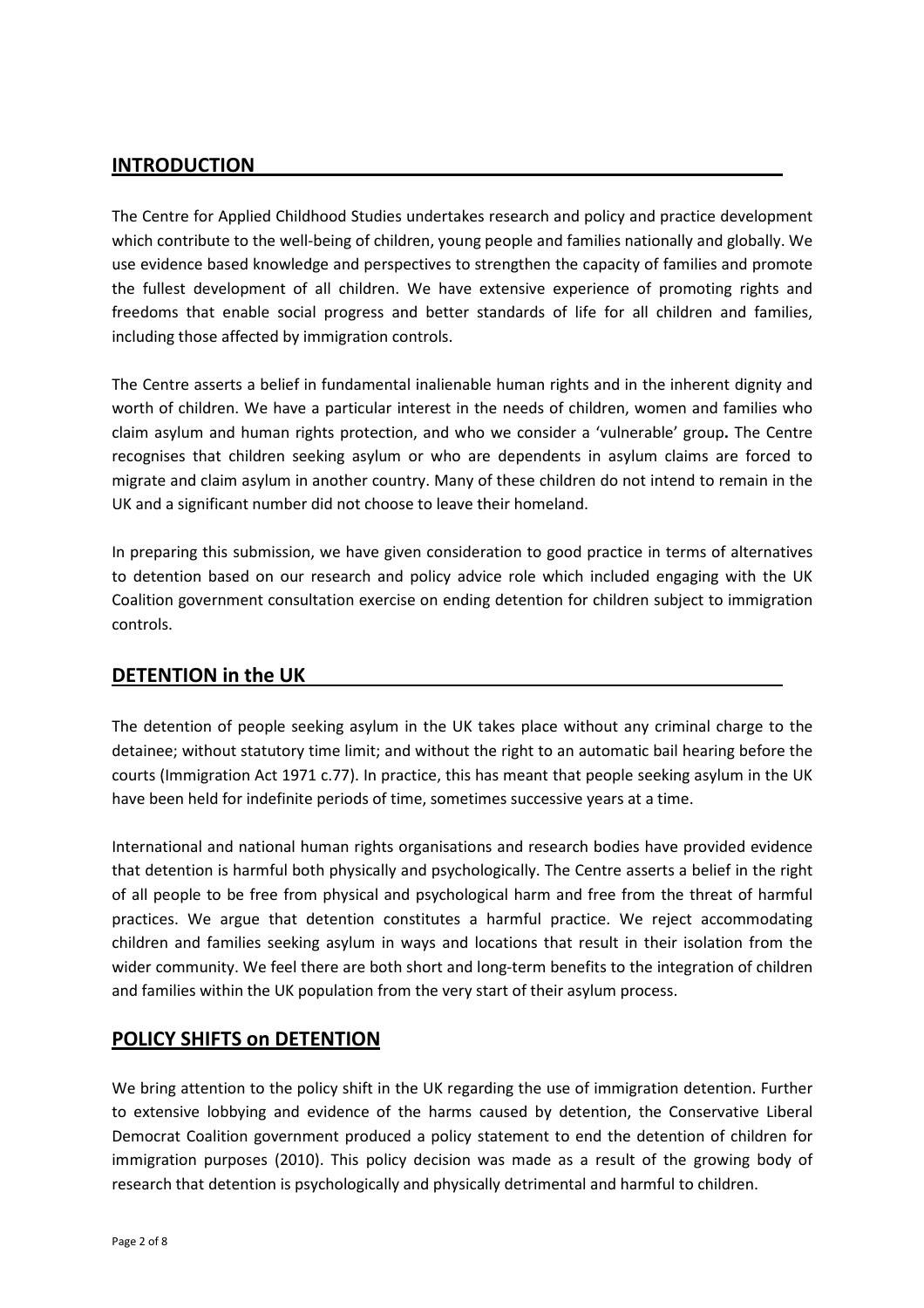#### INTRODUCTION

The Centre for Applied Childhood Studies undertakes research and policy and practice development which contribute to the well-being of children, young people and families nationally and globally. We use evidence based knowledge and perspectives to strengthen the capacity of families and promote the fullest development of all children. We have extensive experience of promoting rights and freedoms that enable social progress and better standards of life for all children and families, including those affected by immigration controls.

The Centre asserts a belief in fundamental inalienable human rights and in the inherent dignity and worth of children. We have a particular interest in the needs of children, women and families who claim asylum and human rights protection, and who we consider a 'vulnerable' group. The Centre recognises that children seeking asylum or who are dependents in asylum claims are forced to migrate and claim asylum in another country. Many of these children do not intend to remain in the UK and a significant number did not choose to leave their homeland.

In preparing this submission, we have given consideration to good practice in terms of alternatives to detention based on our research and policy advice role which included engaging with the UK Coalition government consultation exercise on ending detention for children subject to immigration controls.

## DETENTION in the UK

The detention of people seeking asylum in the UK takes place without any criminal charge to the detainee; without statutory time limit; and without the right to an automatic bail hearing before the courts (Immigration Act 1971 c.77). In practice, this has meant that people seeking asylum in the UK have been held for indefinite periods of time, sometimes successive years at a time.

International and national human rights organisations and research bodies have provided evidence that detention is harmful both physically and psychologically. The Centre asserts a belief in the right of all people to be free from physical and psychological harm and free from the threat of harmful practices. We argue that detention constitutes a harmful practice. We reject accommodating children and families seeking asylum in ways and locations that result in their isolation from the wider community. We feel there are both short and long-term benefits to the integration of children and families within the UK population from the very start of their asylum process.

## POLICY SHIFTS on DETENTION

We bring attention to the policy shift in the UK regarding the use of immigration detention. Further to extensive lobbying and evidence of the harms caused by detention, the Conservative Liberal Democrat Coalition government produced a policy statement to end the detention of children for immigration purposes (2010). This policy decision was made as a result of the growing body of research that detention is psychologically and physically detrimental and harmful to children.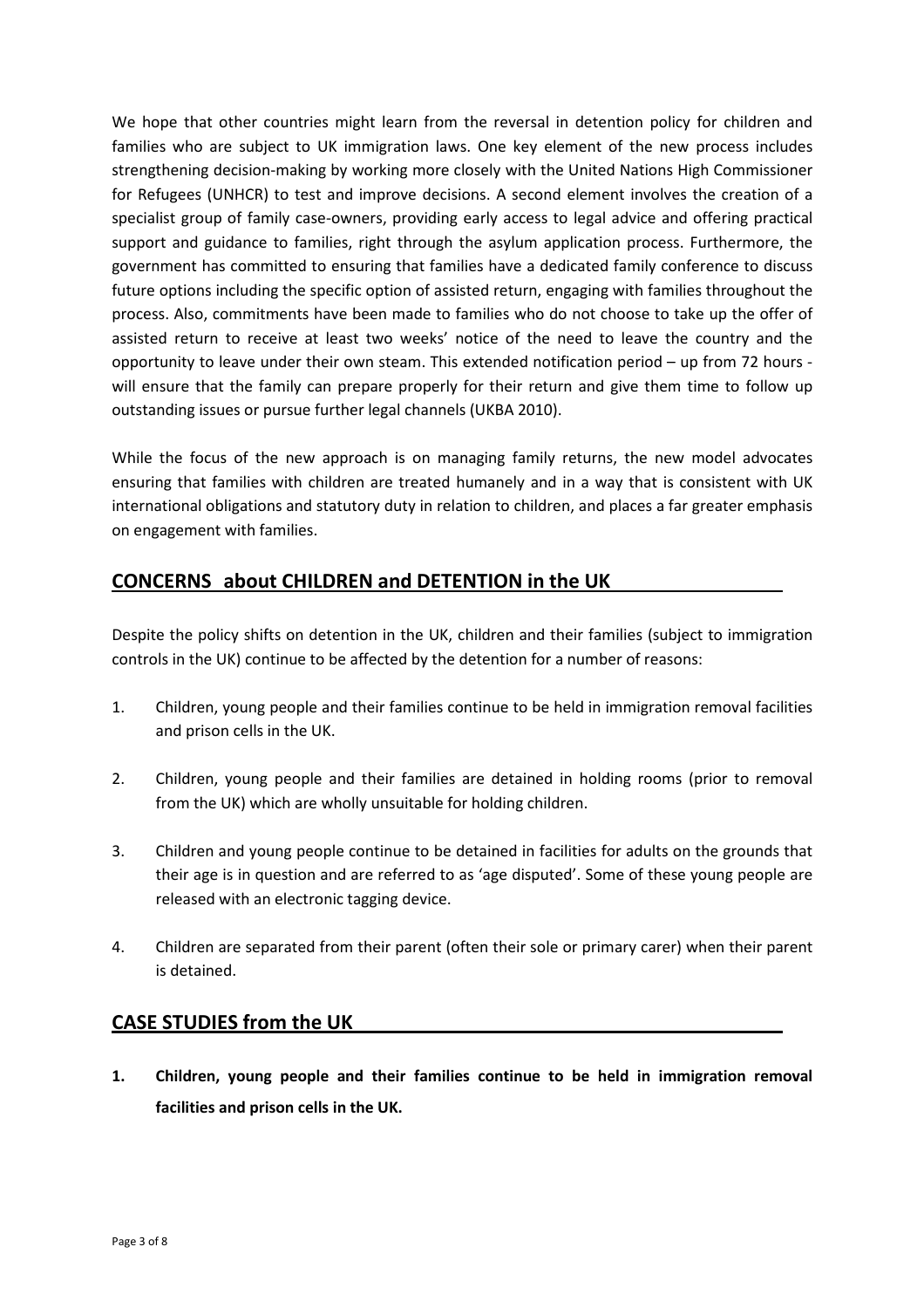We hope that other countries might learn from the reversal in detention policy for children and families who are subject to UK immigration laws. One key element of the new process includes strengthening decision-making by working more closely with the United Nations High Commissioner for Refugees (UNHCR) to test and improve decisions. A second element involves the creation of a specialist group of family case-owners, providing early access to legal advice and offering practical support and guidance to families, right through the asylum application process. Furthermore, the government has committed to ensuring that families have a dedicated family conference to discuss future options including the specific option of assisted return, engaging with families throughout the process. Also, commitments have been made to families who do not choose to take up the offer of assisted return to receive at least two weeks' notice of the need to leave the country and the opportunity to leave under their own steam. This extended notification period – up from 72 hours will ensure that the family can prepare properly for their return and give them time to follow up outstanding issues or pursue further legal channels (UKBA 2010).

While the focus of the new approach is on managing family returns, the new model advocates ensuring that families with children are treated humanely and in a way that is consistent with UK international obligations and statutory duty in relation to children, and places a far greater emphasis on engagement with families.

# CONCERNS about CHILDREN and DETENTION in the UK

Despite the policy shifts on detention in the UK, children and their families (subject to immigration controls in the UK) continue to be affected by the detention for a number of reasons:

- 1. Children, young people and their families continue to be held in immigration removal facilities and prison cells in the UK.
- 2. Children, young people and their families are detained in holding rooms (prior to removal from the UK) which are wholly unsuitable for holding children.
- 3. Children and young people continue to be detained in facilities for adults on the grounds that their age is in question and are referred to as 'age disputed'. Some of these young people are released with an electronic tagging device.
- 4. Children are separated from their parent (often their sole or primary carer) when their parent is detained.

## CASE STUDIES from the UK

1. Children, young people and their families continue to be held in immigration removal facilities and prison cells in the UK.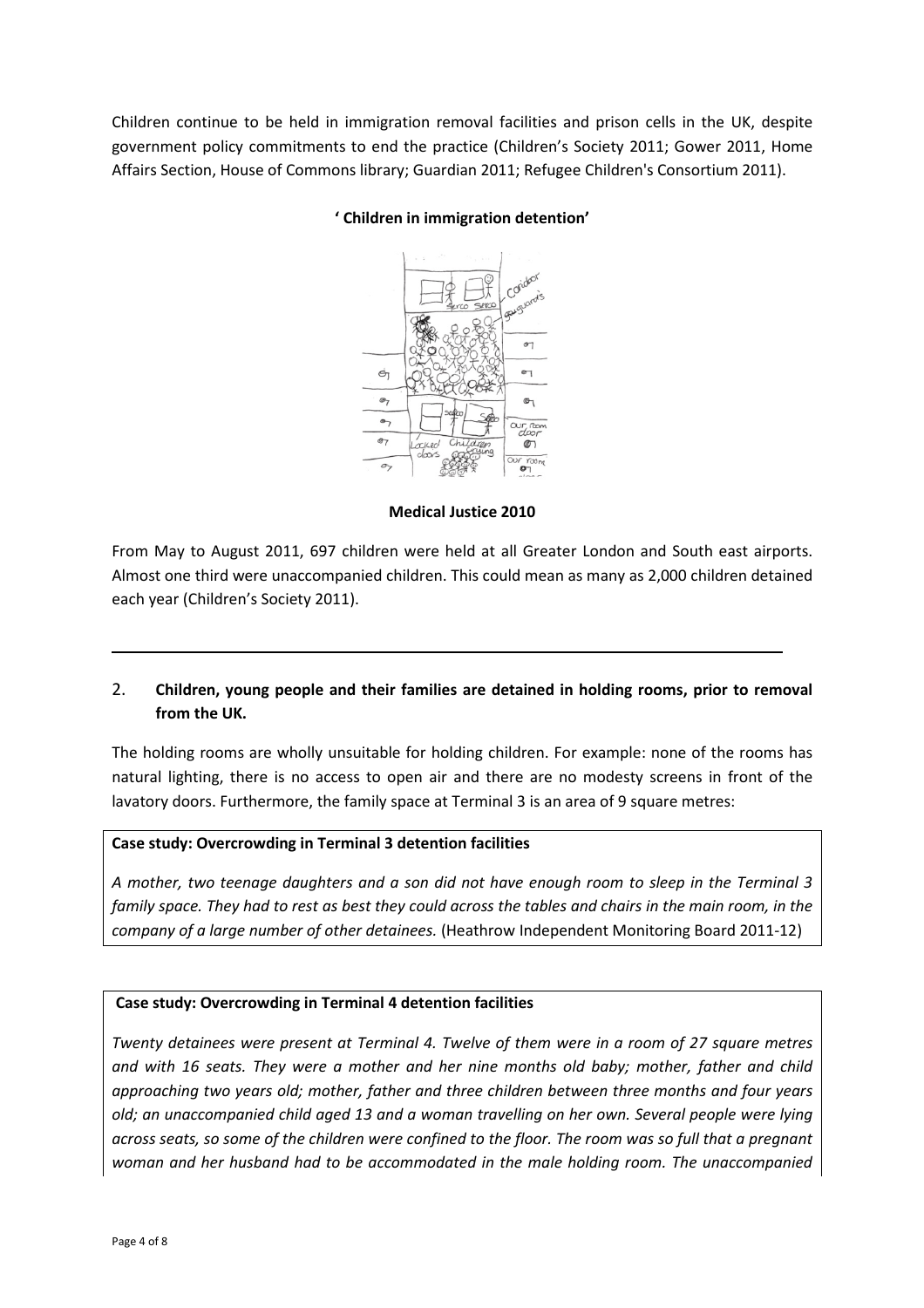Children continue to be held in immigration removal facilities and prison cells in the UK, despite government policy commitments to end the practice (Children's Society 2011; Gower 2011, Home Affairs Section, House of Commons library; Guardian 2011; Refugee Children's Consortium 2011).



#### ' Children in immigration detention'

Medical Justice 2010

From May to August 2011, 697 children were held at all Greater London and South east airports. Almost one third were unaccompanied children. This could mean as many as 2,000 children detained each year (Children's Society 2011).

#### 2. Children, young people and their families are detained in holding rooms, prior to removal from the UK.

The holding rooms are wholly unsuitable for holding children. For example: none of the rooms has natural lighting, there is no access to open air and there are no modesty screens in front of the lavatory doors. Furthermore, the family space at Terminal 3 is an area of 9 square metres:

#### Case study: Overcrowding in Terminal 3 detention facilities

A mother, two teenage daughters and a son did not have enough room to sleep in the Terminal 3 family space. They had to rest as best they could across the tables and chairs in the main room, in the company of a large number of other detainees. (Heathrow Independent Monitoring Board 2011-12)

#### Case study: Overcrowding in Terminal 4 detention facilities

Twenty detainees were present at Terminal 4. Twelve of them were in a room of 27 square metres and with 16 seats. They were a mother and her nine months old baby; mother, father and child approaching two years old; mother, father and three children between three months and four years old; an unaccompanied child aged 13 and a woman travelling on her own. Several people were lying across seats, so some of the children were confined to the floor. The room was so full that a pregnant woman and her husband had to be accommodated in the male holding room. The unaccompanied

ı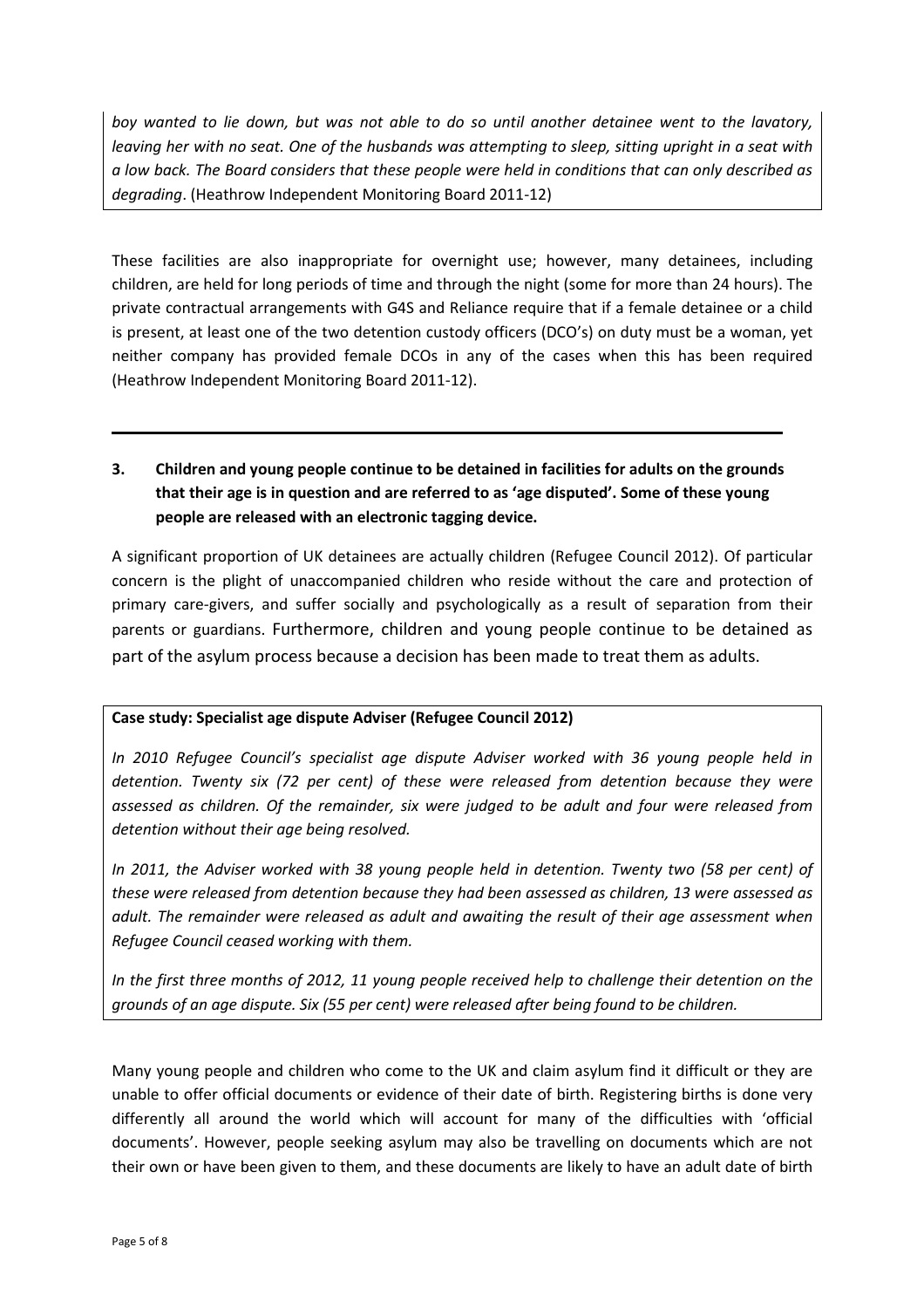boy wanted to lie down, but was not able to do so until another detainee went to the lavatory, leaving her with no seat. One of the husbands was attempting to sleep, sitting upright in a seat with a low back. The Board considers that these people were held in conditions that can only described as degrading. (Heathrow Independent Monitoring Board 2011-12)

These facilities are also inappropriate for overnight use; however, many detainees, including children, are held for long periods of time and through the night (some for more than 24 hours). The private contractual arrangements with G4S and Reliance require that if a female detainee or a child is present, at least one of the two detention custody officers (DCO's) on duty must be a woman, yet neither company has provided female DCOs in any of the cases when this has been required (Heathrow Independent Monitoring Board 2011-12).

# 3. Children and young people continue to be detained in facilities for adults on the grounds that their age is in question and are referred to as 'age disputed'. Some of these young people are released with an electronic tagging device.

A significant proportion of UK detainees are actually children (Refugee Council 2012). Of particular concern is the plight of unaccompanied children who reside without the care and protection of primary care-givers, and suffer socially and psychologically as a result of separation from their parents or guardians. Furthermore, children and young people continue to be detained as part of the asylum process because a decision has been made to treat them as adults.

#### Case study: Specialist age dispute Adviser (Refugee Council 2012)

In 2010 Refugee Council's specialist age dispute Adviser worked with 36 young people held in detention. Twenty six (72 per cent) of these were released from detention because they were assessed as children. Of the remainder, six were judged to be adult and four were released from detention without their age being resolved.

In 2011, the Adviser worked with 38 young people held in detention. Twenty two (58 per cent) of these were released from detention because they had been assessed as children, 13 were assessed as adult. The remainder were released as adult and awaiting the result of their age assessment when Refugee Council ceased working with them.

In the first three months of 2012, 11 young people received help to challenge their detention on the grounds of an age dispute. Six (55 per cent) were released after being found to be children.

Many young people and children who come to the UK and claim asylum find it difficult or they are unable to offer official documents or evidence of their date of birth. Registering births is done very differently all around the world which will account for many of the difficulties with 'official documents'. However, people seeking asylum may also be travelling on documents which are not their own or have been given to them, and these documents are likely to have an adult date of birth

l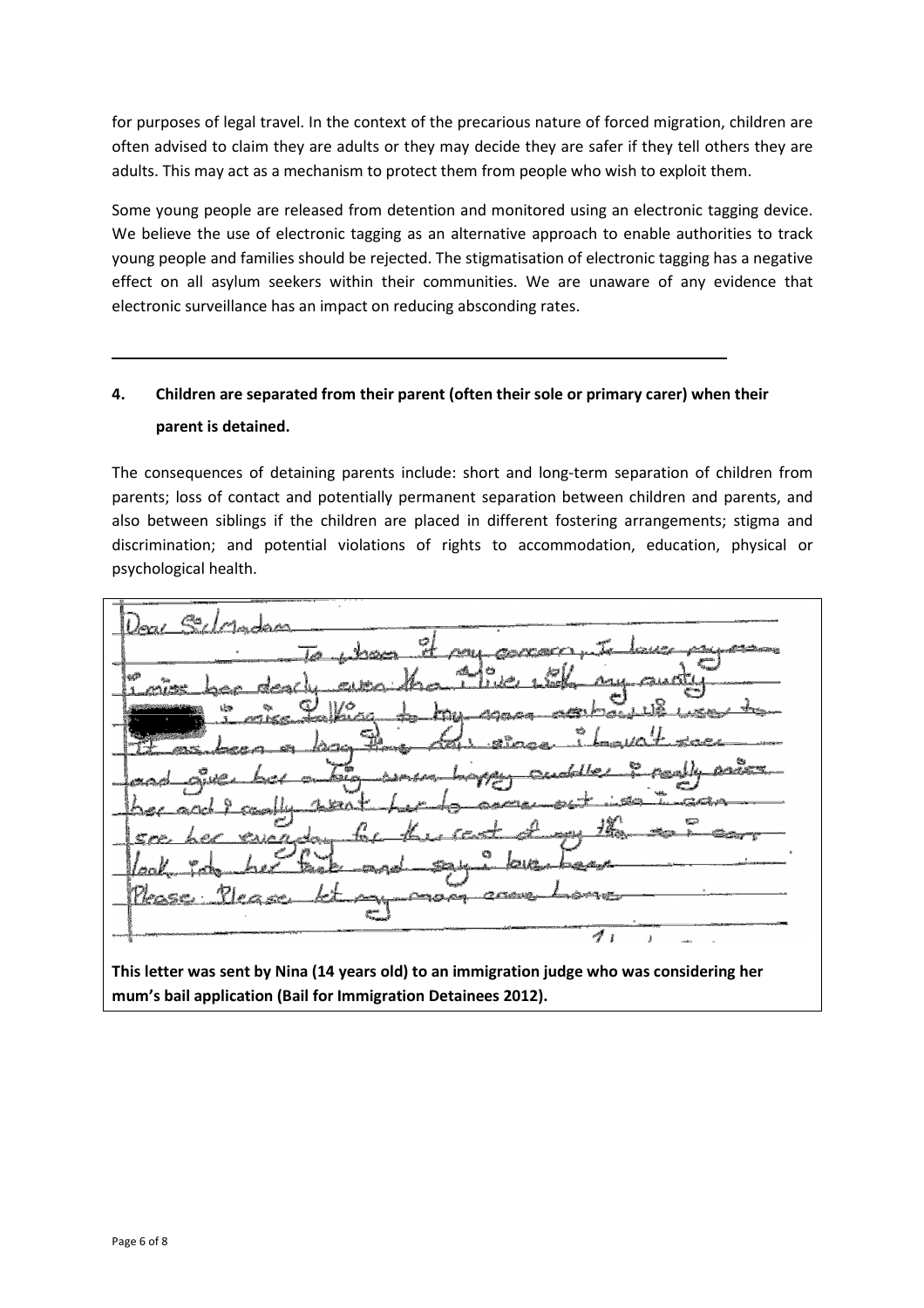for purposes of legal travel. In the context of the precarious nature of forced migration, children are often advised to claim they are adults or they may decide they are safer if they tell others they are adults. This may act as a mechanism to protect them from people who wish to exploit them.

Some young people are released from detention and monitored using an electronic tagging device. We believe the use of electronic tagging as an alternative approach to enable authorities to track young people and families should be rejected. The stigmatisation of electronic tagging has a negative effect on all asylum seekers within their communities. We are unaware of any evidence that electronic surveillance has an impact on reducing absconding rates.

# 4. Children are separated from their parent (often their sole or primary carer) when their parent is detained.

The consequences of detaining parents include: short and long-term separation of children from parents; loss of contact and potentially permanent separation between children and parents, and also between siblings if the children are placed in different fostering arrangements; stigma and discrimination; and potential violations of rights to accommodation, education, physical or psychological health.

عضيمه Ø -1

This letter was sent by Nina (14 years old) to an immigration judge who was considering her mum's bail application (Bail for Immigration Detainees 2012).

ı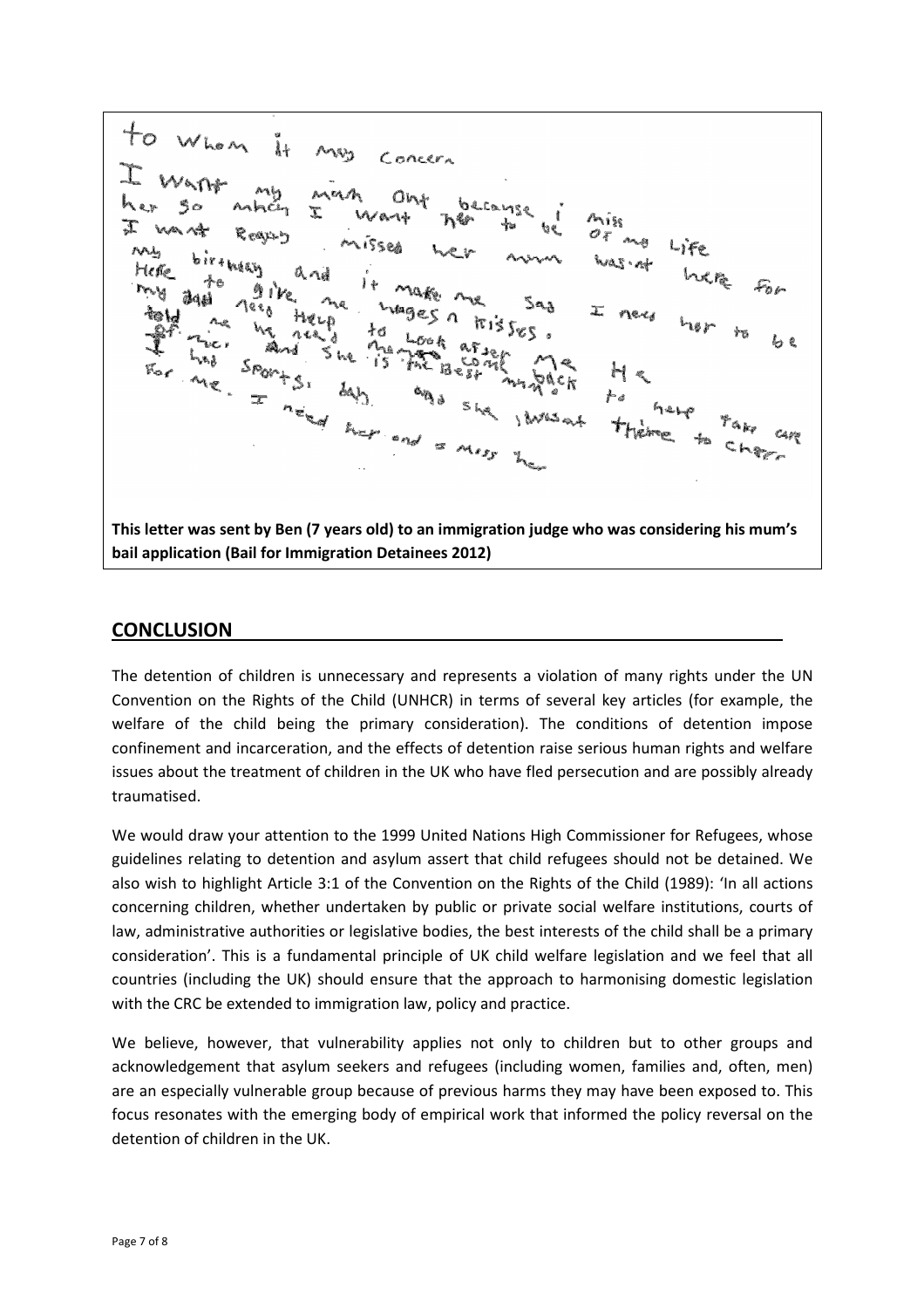Whom  $\lambda +$ Concern Mh Ont because X Aise  $\mathcal{O}_{\widetilde{\Lambda}}$ and Heur This letter was sent by Ben (7 years old) to an immigration judge who was considering his mum's bail application (Bail for Immigration Detainees 2012)

#### **CONCLUSION**

The detention of children is unnecessary and represents a violation of many rights under the UN Convention on the Rights of the Child (UNHCR) in terms of several key articles (for example, the welfare of the child being the primary consideration). The conditions of detention impose confinement and incarceration, and the effects of detention raise serious human rights and welfare issues about the treatment of children in the UK who have fled persecution and are possibly already traumatised.

We would draw your attention to the 1999 United Nations High Commissioner for Refugees, whose guidelines relating to detention and asylum assert that child refugees should not be detained. We also wish to highlight Article 3:1 of the Convention on the Rights of the Child (1989): 'In all actions concerning children, whether undertaken by public or private social welfare institutions, courts of law, administrative authorities or legislative bodies, the best interests of the child shall be a primary consideration'. This is a fundamental principle of UK child welfare legislation and we feel that all countries (including the UK) should ensure that the approach to harmonising domestic legislation with the CRC be extended to immigration law, policy and practice.

We believe, however, that vulnerability applies not only to children but to other groups and acknowledgement that asylum seekers and refugees (including women, families and, often, men) are an especially vulnerable group because of previous harms they may have been exposed to. This focus resonates with the emerging body of empirical work that informed the policy reversal on the detention of children in the UK.